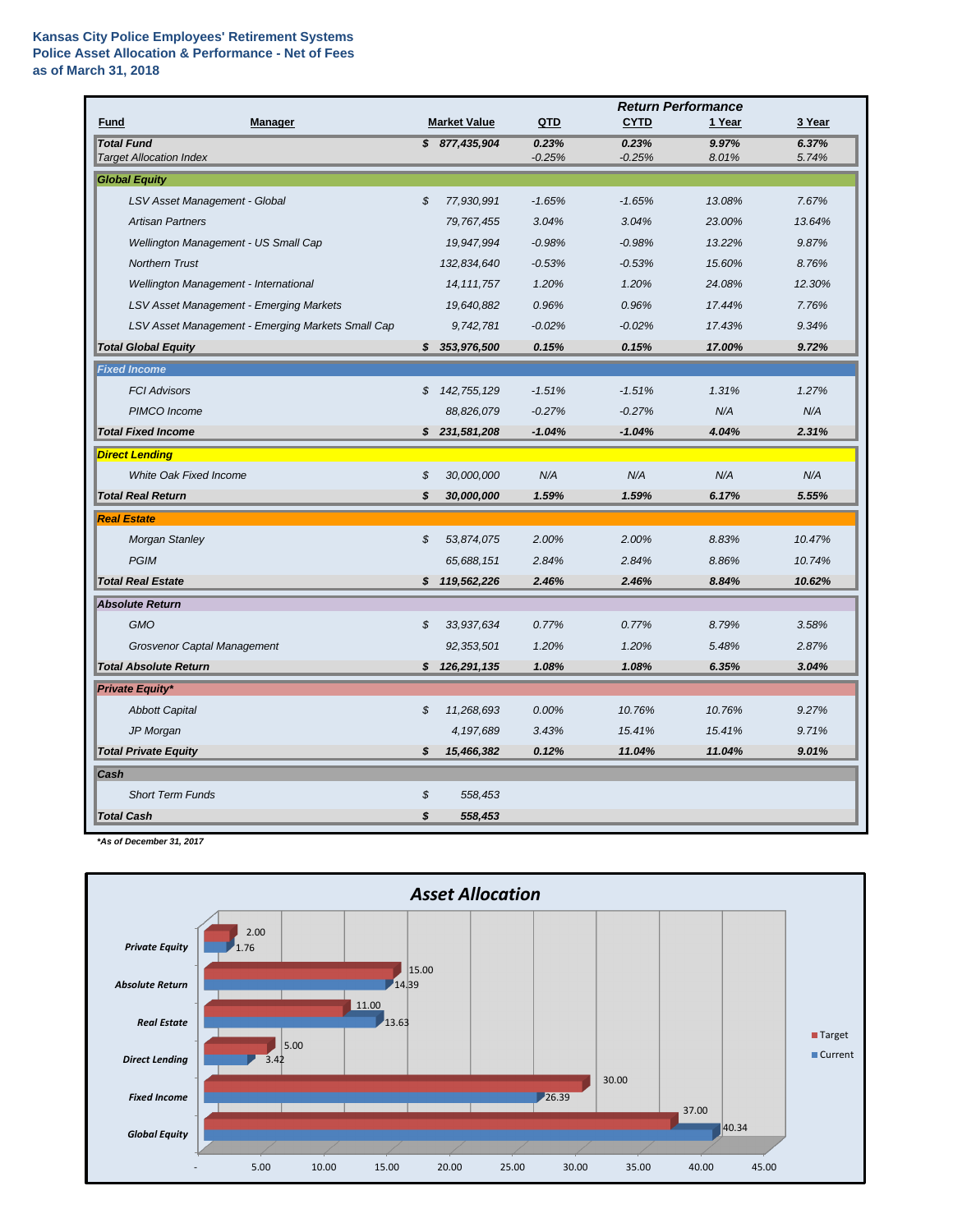## **Kansas City Police Employees' Retirement Systems Police Asset Allocation & Performance - Net of Fees as of March 31, 2018**

|                                                     |    |                     | <b>Return Performance</b> |                   |                |                |
|-----------------------------------------------------|----|---------------------|---------------------------|-------------------|----------------|----------------|
| <b>Manager</b><br><b>Fund</b>                       |    | <b>Market Value</b> | QTD                       | <b>CYTD</b>       | 1 Year         | 3 Year         |
| <b>Total Fund</b><br><b>Target Allocation Index</b> |    | \$877,435,904       | 0.23%<br>$-0.25%$         | 0.23%<br>$-0.25%$ | 9.97%<br>8.01% | 6.37%<br>5.74% |
| <b>Global Equity</b>                                |    |                     |                           |                   |                |                |
| LSV Asset Management - Global                       | \$ | 77,930,991          | $-1.65%$                  | $-1.65%$          | 13.08%         | 7.67%          |
| <b>Artisan Partners</b>                             |    | 79,767,455          | 3.04%                     | 3.04%             | 23.00%         | 13.64%         |
| Wellington Management - US Small Cap                |    | 19,947,994          | $-0.98%$                  | $-0.98%$          | 13.22%         | 9.87%          |
| <b>Northern Trust</b>                               |    | 132,834,640         | $-0.53%$                  | $-0.53%$          | 15.60%         | 8.76%          |
| Wellington Management - International               |    | 14, 111, 757        | 1.20%                     | 1.20%             | 24.08%         | 12.30%         |
| <b>LSV Asset Management - Emerging Markets</b>      |    | 19,640,882          | 0.96%                     | 0.96%             | 17.44%         | 7.76%          |
| LSV Asset Management - Emerging Markets Small Cap   |    | 9,742,781           | $-0.02%$                  | $-0.02%$          | 17.43%         | 9.34%          |
| <b>Total Global Equity</b>                          | S. | 353,976,500         | 0.15%                     | 0.15%             | 17.00%         | 9.72%          |
| <b>Fixed Income</b>                                 |    |                     |                           |                   |                |                |
| <b>FCI Advisors</b>                                 | \$ | 142,755,129         | $-1.51%$                  | $-1.51%$          | 1.31%          | 1.27%          |
| PIMCO Income                                        |    | 88,826,079          | $-0.27%$                  | $-0.27%$          | N/A            | N/A            |
| <b>Total Fixed Income</b>                           |    | \$231,581,208       | $-1.04%$                  | $-1.04%$          | 4.04%          | 2.31%          |
| <b>Direct Lending</b>                               |    |                     |                           |                   |                |                |
| <b>White Oak Fixed Income</b>                       | \$ | 30,000,000          | N/A                       | N/A               | N/A            | N/A            |
| <b>Total Real Return</b>                            | \$ | 30,000,000          | 1.59%                     | 1.59%             | 6.17%          | 5.55%          |
| <b>Real Estate</b>                                  |    |                     |                           |                   |                |                |
| <b>Morgan Stanley</b>                               | \$ | 53,874,075          | 2.00%                     | 2.00%             | 8.83%          | 10.47%         |
| <b>PGIM</b>                                         |    | 65,688,151          | 2.84%                     | 2.84%             | 8.86%          | 10.74%         |
| <b>Total Real Estate</b>                            |    | \$119,562,226       | 2.46%                     | 2.46%             | 8.84%          | 10.62%         |
| <b>Absolute Return</b>                              |    |                     |                           |                   |                |                |
| GMO                                                 | \$ | 33,937,634          | 0.77%                     | 0.77%             | 8.79%          | 3.58%          |
| <b>Grosvenor Captal Management</b>                  |    | 92,353,501          | 1.20%                     | 1.20%             | 5.48%          | 2.87%          |
| <b>Total Absolute Return</b>                        | \$ | 126,291,135         | 1.08%                     | 1.08%             | 6.35%          | 3.04%          |
| <b>Private Equity*</b>                              |    |                     |                           |                   |                |                |
| <b>Abbott Capital</b>                               | \$ | 11,268,693          | 0.00%                     | 10.76%            | 10.76%         | 9.27%          |
| JP Morgan                                           |    | 4,197,689           | 3.43%                     | 15.41%            | 15.41%         | 9.71%          |
| <b>Total Private Equity</b>                         | S  | 15,466,382          | 0.12%                     | 11.04%            | 11.04%         | 9.01%          |
| Cash                                                |    |                     |                           |                   |                |                |
| <b>Short Term Funds</b>                             | \$ | 558,453             |                           |                   |                |                |
| <b>Total Cash</b>                                   | \$ | 558,453             |                           |                   |                |                |

*\*As of December 31, 2017*